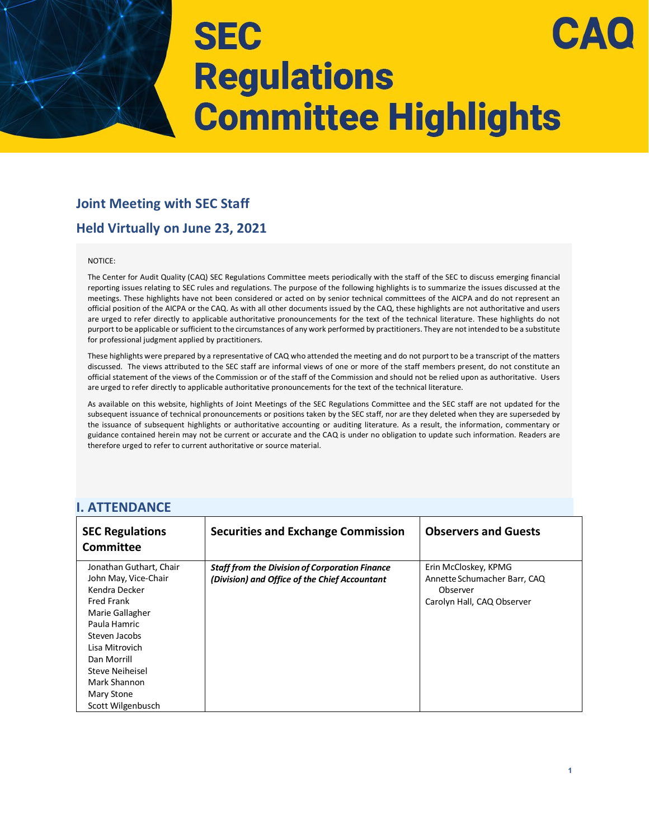### **Joint Meeting with SEC Staff**

### **Held Virtually on June 23, 2021**

#### NOTICE:

The Center for Audit Quality (CAQ) SEC Regulations Committee meets periodically with the staff of the SEC to discuss emerging financial reporting issues relating to SEC rules and regulations. The purpose of the following highlights is to summarize the issues discussed at the meetings. These highlights have not been considered or acted on by senior technical committees of the AICPA and do not represent an official position of the AICPA or the CAQ. As with all other documents issued by the CAQ, these highlights are not authoritative and users are urged to refer directly to applicable authoritative pronouncements for the text of the technical literature. These highlights do not purport to be applicable or sufficient to the circumstances of any work performed by practitioners. They are not intended to be a substitute for professional judgment applied by practitioners.

These highlights were prepared by a representative of CAQ who attended the meeting and do not purport to be a transcript of the matters discussed. The views attributed to the SEC staff are informal views of one or more of the staff members present, do not constitute an official statement of the views of the Commission or of the staff of the Commission and should not be relied upon as authoritative. Users are urged to refer directly to applicable authoritative pronouncements for the text of the technical literature.

As available on this website, highlights of Joint Meetings of the SEC Regulations Committee and the SEC staff are not updated for the subsequent issuance of technical pronouncements or positions taken by the SEC staff, nor are they deleted when they are superseded by the issuance of subsequent highlights or authoritative accounting or auditing literature. As a result, the information, commentary or guidance contained herein may not be current or accurate and the CAQ is under no obligation to update such information. Readers are therefore urged to refer to current authoritative or source material.

#### **I. ATTENDANCE**

| <b>SEC Regulations</b><br><b>Committee</b> | <b>Securities and Exchange Commission</b>             | <b>Observers and Guests</b>  |
|--------------------------------------------|-------------------------------------------------------|------------------------------|
| Jonathan Guthart, Chair                    | <b>Staff from the Division of Corporation Finance</b> | Erin McCloskey, KPMG         |
| John May, Vice-Chair                       | (Division) and Office of the Chief Accountant         | Annette Schumacher Barr, CAQ |
| Kendra Decker                              |                                                       | Observer                     |
| <b>Fred Frank</b>                          |                                                       | Carolyn Hall, CAQ Observer   |
| Marie Gallagher                            |                                                       |                              |
| Paula Hamric                               |                                                       |                              |
| Steven Jacobs                              |                                                       |                              |
| Lisa Mitrovich                             |                                                       |                              |
| Dan Morrill                                |                                                       |                              |
| Steve Neiheisel                            |                                                       |                              |
| Mark Shannon                               |                                                       |                              |
| Mary Stone                                 |                                                       |                              |
| Scott Wilgenbusch                          |                                                       |                              |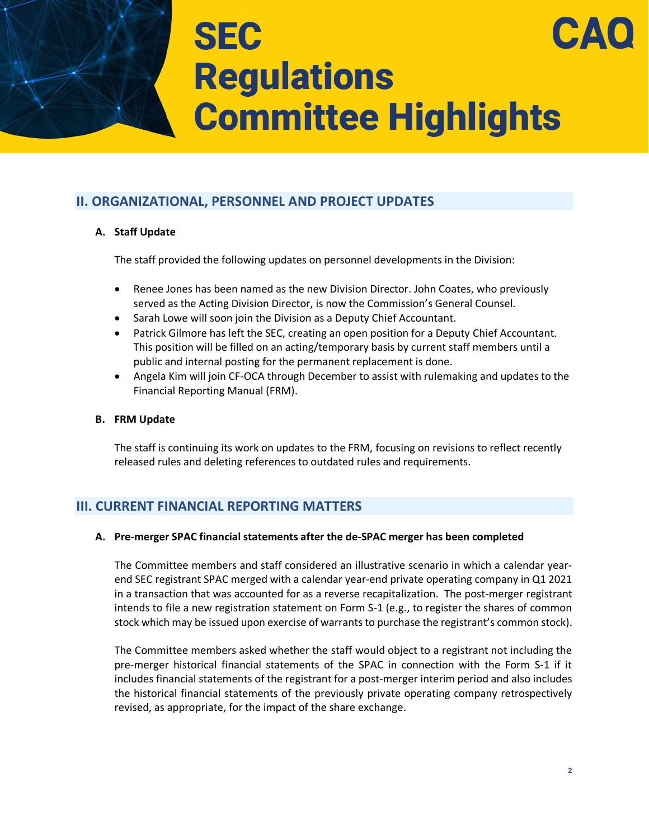### **II. ORGANIZATIONAL, PERSONNEL AND PROJECT UPDATES**

#### **A. Staff Update**

The staff provided the following updates on personnel developments in the Division:

- Renee Jones has been named as the new Division Director. John Coates, who previously served as the Acting Division Director, is now the Commission's General Counsel.
- Sarah Lowe will soon join the Division as a Deputy Chief Accountant.
- Patrick Gilmore has left the SEC, creating an open position for a Deputy Chief Accountant. This position will be filled on an acting/temporary basis by current staff members until a public and internal posting for the permanent replacement is done.
- Angela Kim will join CF-OCA through December to assist with rulemaking and updates to the Financial Reporting Manual (FRM).

#### **B. FRM Update**

The staff is continuing its work on updates to the FRM, focusing on revisions to reflect recently released rules and deleting references to outdated rules and requirements.

### **III. CURRENT FINANCIAL REPORTING MATTERS**

#### **A. Pre-merger SPAC financial statements after the de-SPAC merger has been completed**

The Committee members and staff considered an illustrative scenario in which a calendar yearend SEC registrant SPAC merged with a calendar year-end private operating company in Q1 2021 in a transaction that was accounted for as a reverse recapitalization. The post-merger registrant intends to file a new registration statement on Form S-1 (e.g., to register the shares of common stock which may be issued upon exercise of warrants to purchase the registrant's common stock).

The Committee members asked whether the staff would object to a registrant not including the pre-merger historical financial statements of the SPAC in connection with the Form S-1 if it includes financial statements of the registrant for a post-merger interim period and also includes the historical financial statements of the previously private operating company retrospectively revised, as appropriate, for the impact of the share exchange.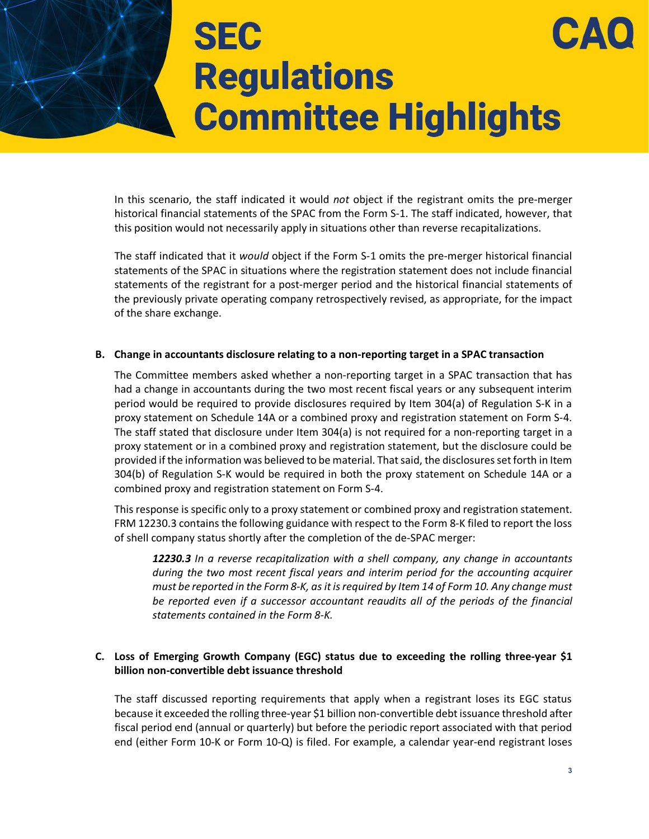In this scenario, the staff indicated it would *not* object if the registrant omits the pre-merger historical financial statements of the SPAC from the Form S-1. The staff indicated, however, that this position would not necessarily apply in situations other than reverse recapitalizations.

The staff indicated that it *would* object if the Form S-1 omits the pre-merger historical financial statements of the SPAC in situations where the registration statement does not include financial statements of the registrant for a post-merger period and the historical financial statements of the previously private operating company retrospectively revised, as appropriate, for the impact of the share exchange.

#### **B. Change in accountants disclosure relating to a non-reporting target in a SPAC transaction**

The Committee members asked whether a non-reporting target in a SPAC transaction that has had a change in accountants during the two most recent fiscal years or any subsequent interim period would be required to provide disclosures required by Item 304(a) of Regulation S-K in a proxy statement on Schedule 14A or a combined proxy and registration statement on Form S-4. The staff stated that disclosure under Item 304(a) is not required for a non-reporting target in a proxy statement or in a combined proxy and registration statement, but the disclosure could be provided if the information was believed to be material. That said, the disclosures set forth in Item 304(b) of Regulation S-K would be required in both the proxy statement on Schedule 14A or a combined proxy and registration statement on Form S-4.

This response is specific only to a proxy statement or combined proxy and registration statement. FRM 12230.3 contains the following guidance with respect to the Form 8-K filed to report the loss of shell company status shortly after the completion of the de-SPAC merger:

*12230.3 In a reverse recapitalization with a shell company, any change in accountants during the two most recent fiscal years and interim period for the accounting acquirer must be reported in the Form 8-K, as itisrequired by Item 14 of Form 10. Any change must be reported even if a successor accountant reaudits all of the periods of the financial statements contained in the Form 8-K.*

#### **C. Loss of Emerging Growth Company (EGC) status due to exceeding the rolling three-year \$1 billion non-convertible debt issuance threshold**

The staff discussed reporting requirements that apply when a registrant loses its EGC status because it exceeded the rolling three-year \$1 billion non-convertible debt issuance threshold after fiscal period end (annual or quarterly) but before the periodic report associated with that period end (either Form 10-K or Form 10-Q) is filed. For example, a calendar year-end registrant loses